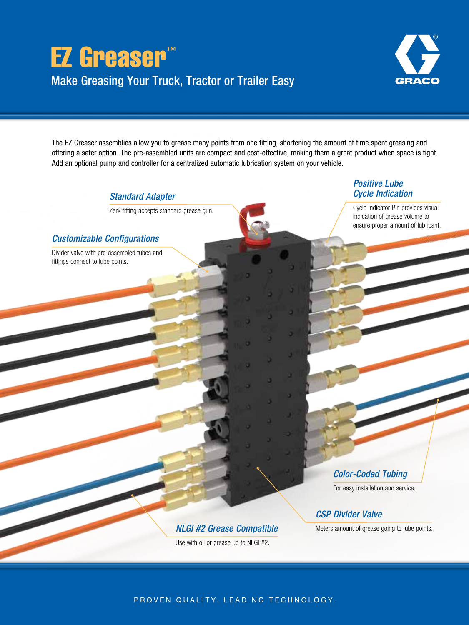



The EZ Greaser assemblies allow you to grease many points from one fitting, shortening the amount of time spent greasing and offering a safer option. The pre-assembled units are compact and cost-effective, making them a great product when space is tight. Add an optional pump and controller for a centralized automatic lubrication system on your vehicle.

*Standard Adapter* 

Zerk fitting accepts standard grease gun.

## *Customizable Configurations*

Divider valve with pre-assembled tubes and fittings connect to lube points.

*Positive Lube Cycle Indication* 

Cycle Indicator Pin provides visual indication of grease volume to ensure proper amount of lubricant.

*Color-Coded Tubing* 

For easy installation and service.

*CSP Divider Valve* 

Meters amount of grease going to lube points.

*NLGI #2 Grease Compatible*  Use with oil or grease up to NLGI #2.